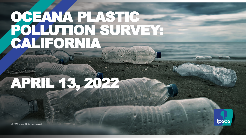### OCEANA PLASTIC POLLUTION SURVEY: CALIFORNIA

### APRIL 13, 2022

© 2021 Ipsos. All rights reserved.

© 2019 Ipsos. All rights reserved. Contains Ipsos' Confidential

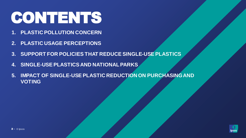### CONTENTS

- **1. PLASTIC POLLUTION CONCERN**
- **2. PLASTIC USAGE PERCEPTIONS**
- **3. SUPPORT FOR POLICIES THAT REDUCE SINGLE-USE PLASTICS**
- **4. SINGLE-USE PLASTICS AND NATIONAL PARKS**
- **5. IMPACT OF SINGLE-USE PLASTIC REDUCTION ON PURCHASING AND VOTING**

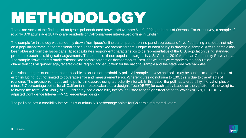### METHODOLOGY

These are some of the findings of an Ipsos poll conducted between November 5 to 9, 2021, on behalf of Oceana. For this survey, a sample of roughly 379 adults age 18+ who are residents of California were interviewed online in English.

The sample for this study was randomly drawn from Ipsos' online panel, partner online panel sources, and "river" sampling and does not rely on a population frame in the traditional sense. Ipsos uses fixed sample targets, unique to each study, in drawing a sample. After a sample has been obtained from the Ipsos panel, Ipsos calibrates respondent characteristics to be representative of the U.S. population using standard procedures such as raking-ratio adjustments. The source of these population targets is U.S. Census 2019 American Community Survey data. The sample drawn for this study reflects fixed sample targets on demographics. Post-hoc weights were made to the population characteristics on gender, age, race/ethnicity, region, and education for the national sample and the statewide oversamples.

Statistical margins of error are not applicable to online non-probability polls. All sample surveys and polls may be subject to other sources of error, including, but not limited to coverage error and measurement error. Where figures do not sum to 100, this is due to the effects of rounding. The precision of Ipsos online polls is measured using a credibility interval. In this case, the poll has a credibility interval of plus or minus 5.7 percentage points for all Californians. Ipsos calculates a design effect (DEFF) for each study based on the variation of the weights, following the formula of Kish (1965). This study had a credibility interval adjusted for design effect of the following (n=379, DEFF=1.5, adjusted Confidence Interval=+/-7.2 percentage points).

The poll also has a credibility interval plus or minus 6.8 percentage points for California registered voters.



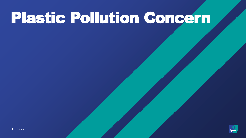### Plastic Pollution Concern

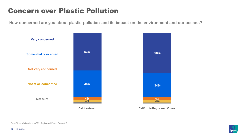#### Concern over Plastic Pollution

**How concerned are you about plastic pollution and its impact on the environment and our oceans?**





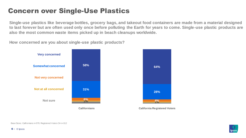#### Concern over Single-Use Plastics

**Single-use plastics like beverage bottles, grocery bags, and takeout food containers are made from a material designed to last forever but are often used only once before polluting the Earth for years to come. Single-use plastic products are also the most common waste items picked up in beach cleanups worldwide.** 

**How concerned are you about single-use plastic products?** 

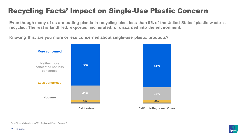#### Recycling Facts' Impact on Single-Use Plastic Concern

**Even though many of us are putting plastic in recycling bins, less than 9% of the United States' plastic waste is recycled. The rest is landfilled, exported, incinerated, or discarded into the environment.** 

**Knowing this, are you more or less concerned about single-use plastic products?**



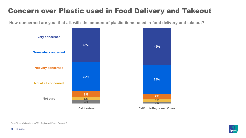#### Concern over Plastic used in Food Delivery and Takeout

**How concerned are you, if at all, with the amount of plastic items used in food delivery and takeout?**

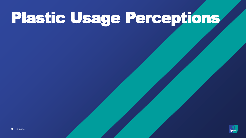# Plastic Usage Perceptions

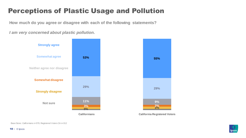**How much do you agree or disagree with each of the following statements?**

*I am very concerned about plastic pollution.*



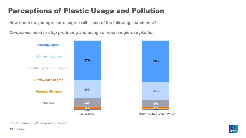**How much do you agree or disagree with each of the following statements?**

*Companies need to stop producing and using so much single-use plastic.*





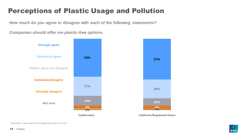**How much do you agree or disagree with each of the following statements?**

*Companies should offer me plastic-free options.*

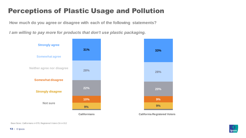**How much do you agree or disagree with each of the following statements?**

*I am willing to pay more for products that don't use plastic packaging.*



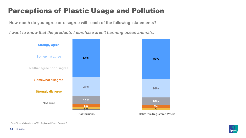**How much do you agree or disagree with each of the following statements?**

*I want to know that the products I purchase aren't harming ocean animals.*



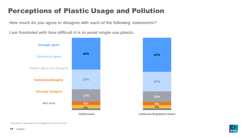**How much do you agree or disagree with each of the following statements?**

*I am frustrated with how difficult it is to avoid single-use plastic.*





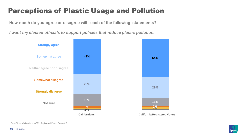**How much do you agree or disagree with each of the following statements?**

*I want my elected officials to support policies that reduce plastic pollution.*



 $16 - \circ$  lpsos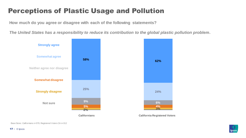**How much do you agree or disagree with each of the following statements?**

*The United States has a responsibility to reduce its contribution to the global plastic pollution problem.*



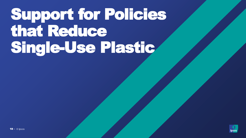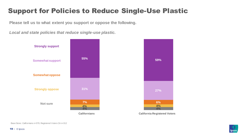#### Support for Policies to Reduce Single-Use Plastic

**Please tell us to what extent you support or oppose the following.**

*Local and state policies that reduce single-use plastic.*



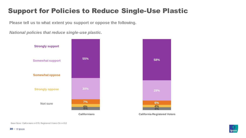#### Support for Policies to Reduce Single-Use Plastic

**Please tell us to what extent you support or oppose the following.**

*National policies that reduce single-use plastic.*



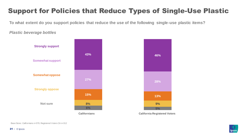**To what extent do you support policies that reduce the use of the following single-use plastic items?** 

*Plastic beverage bottles*



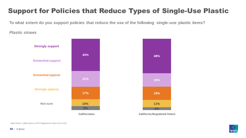**To what extent do you support policies that reduce the use of the following single-use plastic items?** 

*Plastic straws*



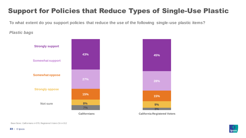**To what extent do you support policies that reduce the use of the following single-use plastic items?** 

*Plastic bags*



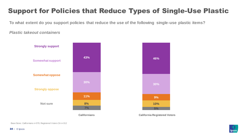**To what extent do you support policies that reduce the use of the following single-use plastic items?** 

*Plastic takeout containers*



© Ipsos 24 **‒**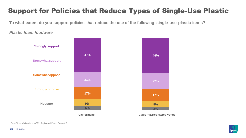**To what extent do you support policies that reduce the use of the following single-use plastic items?** 

*Plastic foam foodware*



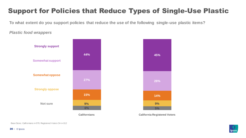**To what extent do you support policies that reduce the use of the following single-use plastic items?** 

*Plastic food wrappers*



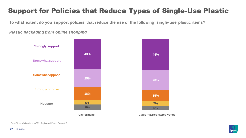**To what extent do you support policies that reduce the use of the following single-use plastic items?** 

*Plastic packaging from online shopping*



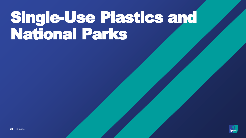### Single-Use Plastics and National Parks

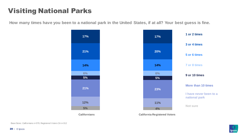#### Visiting National Parks

**How many times have you been to a national park in the United States, if at all? Your best guess is fine.**



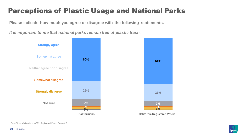**Please indicate how much you agree or disagree with the following statements.**

*It is important to me that national parks remain free of plastic trash.*



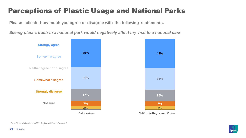**Please indicate how much you agree or disagree with the following statements.**

*Seeing plastic trash in a national park would negatively affect my visit to a national park.*



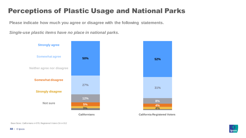**Please indicate how much you agree or disagree with the following statements.**

*Single-use plastic items have no place in national parks.* 



© Ipsos 32 **‒**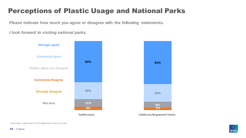**Please indicate how much you agree or disagree with the following statements.**

*I look forward to visiting national parks.*



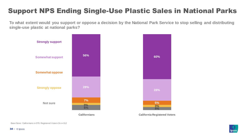#### Support NPS Ending Single-Use Plastic Sales in National Parks

**To what extent would you support or oppose a decision by the National Park Service to stop selling and distributing single-use plastic at national parks?**



Base Sizes: Californians n=379; Registered Voters CA n=312

© Ipsos 34 **‒**